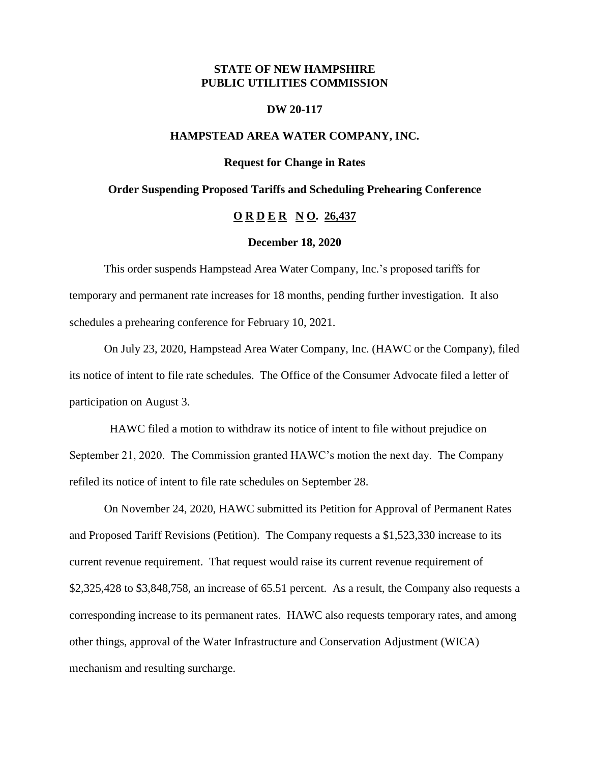# **STATE OF NEW HAMPSHIRE PUBLIC UTILITIES COMMISSION**

#### **DW 20-117**

# **HAMPSTEAD AREA WATER COMPANY, INC.**

**Request for Change in Rates**

### **Order Suspending Proposed Tariffs and Scheduling Prehearing Conference**

# **O R D E R N O. 26,437**

#### **December 18, 2020**

This order suspends Hampstead Area Water Company, Inc.'s proposed tariffs for temporary and permanent rate increases for 18 months, pending further investigation. It also schedules a prehearing conference for February 10, 2021.

On July 23, 2020, Hampstead Area Water Company, Inc. (HAWC or the Company), filed its notice of intent to file rate schedules. The Office of the Consumer Advocate filed a letter of participation on August 3.

 HAWC filed a motion to withdraw its notice of intent to file without prejudice on September 21, 2020. The Commission granted HAWC's motion the next day. The Company refiled its notice of intent to file rate schedules on September 28.

On November 24, 2020, HAWC submitted its Petition for Approval of Permanent Rates and Proposed Tariff Revisions (Petition). The Company requests a \$1,523,330 increase to its current revenue requirement. That request would raise its current revenue requirement of \$2,325,428 to \$3,848,758, an increase of 65.51 percent. As a result, the Company also requests a corresponding increase to its permanent rates. HAWC also requests temporary rates, and among other things, approval of the Water Infrastructure and Conservation Adjustment (WICA) mechanism and resulting surcharge.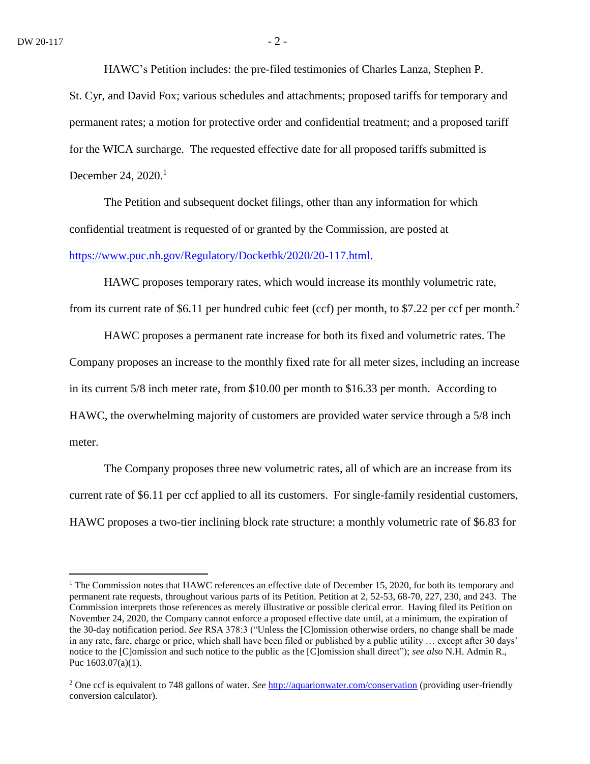$\overline{a}$ 

HAWC's Petition includes: the pre-filed testimonies of Charles Lanza, Stephen P.

St. Cyr, and David Fox; various schedules and attachments; proposed tariffs for temporary and permanent rates; a motion for protective order and confidential treatment; and a proposed tariff for the WICA surcharge. The requested effective date for all proposed tariffs submitted is December 24, 2020.<sup>1</sup>

The Petition and subsequent docket filings, other than any information for which confidential treatment is requested of or granted by the Commission, are posted at [https://www.puc.nh.gov/Regulatory/Docketbk/2020/20-117.html.](https://www.puc.nh.gov/Regulatory/Docketbk/2020/20-117.html)

HAWC proposes temporary rates, which would increase its monthly volumetric rate, from its current rate of \$6.11 per hundred cubic feet (ccf) per month, to \$7.22 per ccf per month.<sup>2</sup>

HAWC proposes a permanent rate increase for both its fixed and volumetric rates. The Company proposes an increase to the monthly fixed rate for all meter sizes, including an increase in its current 5/8 inch meter rate, from \$10.00 per month to \$16.33 per month. According to HAWC, the overwhelming majority of customers are provided water service through a 5/8 inch meter.

The Company proposes three new volumetric rates, all of which are an increase from its current rate of \$6.11 per ccf applied to all its customers. For single-family residential customers, HAWC proposes a two-tier inclining block rate structure: a monthly volumetric rate of \$6.83 for

<sup>&</sup>lt;sup>1</sup> The Commission notes that HAWC references an effective date of December 15, 2020, for both its temporary and permanent rate requests, throughout various parts of its Petition. Petition at 2, 52-53, 68-70, 227, 230, and 243. The Commission interprets those references as merely illustrative or possible clerical error. Having filed its Petition on November 24, 2020, the Company cannot enforce a proposed effective date until, at a minimum, the expiration of the 30-day notification period. *See* RSA 378:3 ("Unless the [C]omission otherwise orders, no change shall be made in any rate, fare, charge or price, which shall have been filed or published by a public utility … except after 30 days' notice to the [C]omission and such notice to the public as the [C]omission shall direct"); *see also* N.H. Admin R., Puc 1603.07(a)(1).

<sup>2</sup> One ccf is equivalent to 748 gallons of water. *See* <http://aquarionwater.com/conservation> (providing user-friendly conversion calculator).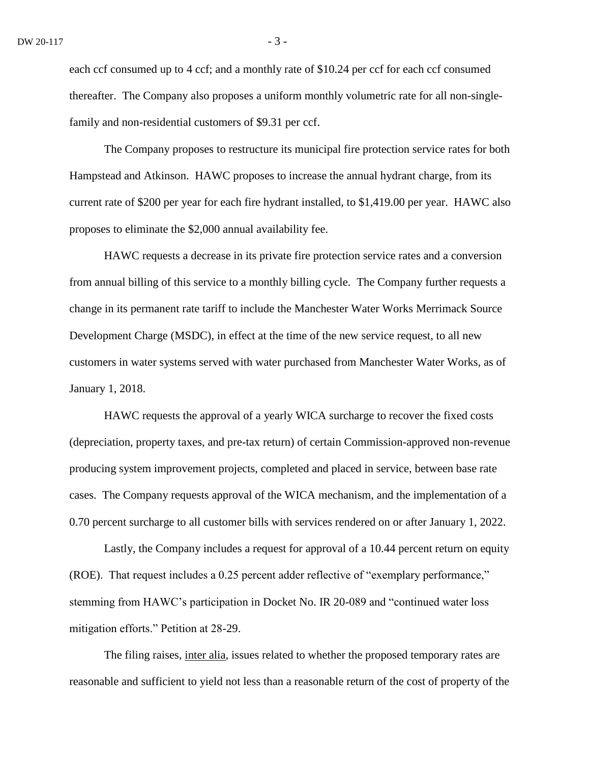each ccf consumed up to 4 ccf; and a monthly rate of \$10.24 per ccf for each ccf consumed thereafter. The Company also proposes a uniform monthly volumetric rate for all non-singlefamily and non-residential customers of \$9.31 per ccf.

The Company proposes to restructure its municipal fire protection service rates for both Hampstead and Atkinson. HAWC proposes to increase the annual hydrant charge, from its current rate of \$200 per year for each fire hydrant installed, to \$1,419.00 per year. HAWC also proposes to eliminate the \$2,000 annual availability fee.

HAWC requests a decrease in its private fire protection service rates and a conversion from annual billing of this service to a monthly billing cycle. The Company further requests a change in its permanent rate tariff to include the Manchester Water Works Merrimack Source Development Charge (MSDC), in effect at the time of the new service request, to all new customers in water systems served with water purchased from Manchester Water Works, as of January 1, 2018.

HAWC requests the approval of a yearly WICA surcharge to recover the fixed costs (depreciation, property taxes, and pre-tax return) of certain Commission-approved non-revenue producing system improvement projects, completed and placed in service, between base rate cases. The Company requests approval of the WICA mechanism, and the implementation of a 0.70 percent surcharge to all customer bills with services rendered on or after January 1, 2022.

Lastly, the Company includes a request for approval of a 10.44 percent return on equity (ROE). That request includes a 0.25 percent adder reflective of "exemplary performance," stemming from HAWC's participation in Docket No. IR 20-089 and "continued water loss mitigation efforts." Petition at 28-29.

The filing raises, inter alia, issues related to whether the proposed temporary rates are reasonable and sufficient to yield not less than a reasonable return of the cost of property of the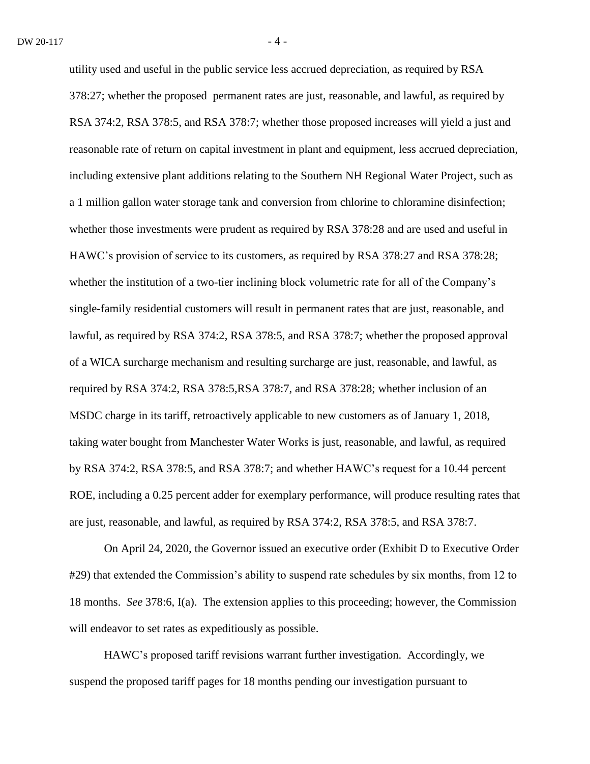utility used and useful in the public service less accrued depreciation, as required by RSA 378:27; whether the proposed permanent rates are just, reasonable, and lawful, as required by RSA 374:2, RSA 378:5, and RSA 378:7; whether those proposed increases will yield a just and reasonable rate of return on capital investment in plant and equipment, less accrued depreciation, including extensive plant additions relating to the Southern NH Regional Water Project, such as a 1 million gallon water storage tank and conversion from chlorine to chloramine disinfection; whether those investments were prudent as required by RSA 378:28 and are used and useful in HAWC's provision of service to its customers, as required by RSA 378:27 and RSA 378:28; whether the institution of a two-tier inclining block volumetric rate for all of the Company's single-family residential customers will result in permanent rates that are just, reasonable, and lawful, as required by RSA 374:2, RSA 378:5, and RSA 378:7; whether the proposed approval of a WICA surcharge mechanism and resulting surcharge are just, reasonable, and lawful, as required by RSA 374:2, RSA 378:5,RSA 378:7, and RSA 378:28; whether inclusion of an MSDC charge in its tariff, retroactively applicable to new customers as of January 1, 2018, taking water bought from Manchester Water Works is just, reasonable, and lawful, as required by RSA 374:2, RSA 378:5, and RSA 378:7; and whether HAWC's request for a 10.44 percent ROE, including a 0.25 percent adder for exemplary performance, will produce resulting rates that are just, reasonable, and lawful, as required by RSA 374:2, RSA 378:5, and RSA 378:7.

On April 24, 2020, the Governor issued an executive order (Exhibit D to Executive Order #29) that extended the Commission's ability to suspend rate schedules by six months, from 12 to 18 months. *See* 378:6, I(a). The extension applies to this proceeding; however, the Commission will endeavor to set rates as expeditiously as possible.

HAWC's proposed tariff revisions warrant further investigation. Accordingly, we suspend the proposed tariff pages for 18 months pending our investigation pursuant to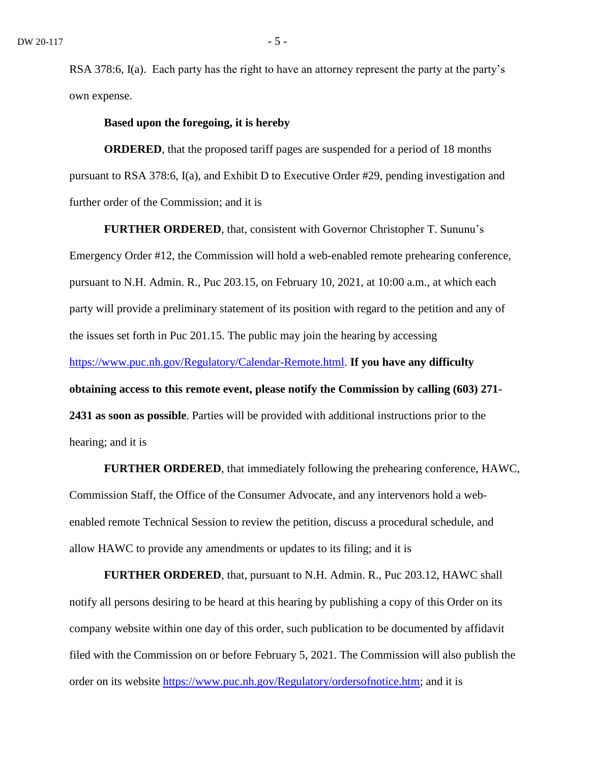RSA 378:6, I(a). Each party has the right to have an attorney represent the party at the party's own expense.

# **Based upon the foregoing, it is hereby**

**ORDERED**, that the proposed tariff pages are suspended for a period of 18 months pursuant to RSA 378:6, I(a), and Exhibit D to Executive Order #29, pending investigation and further order of the Commission; and it is

**FURTHER ORDERED**, that, consistent with Governor Christopher T. Sununu's Emergency Order #12, the Commission will hold a web-enabled remote prehearing conference, pursuant to N.H. Admin. R., Puc 203.15, on February 10, 2021, at 10:00 a.m., at which each party will provide a preliminary statement of its position with regard to the petition and any of the issues set forth in Puc 201.15. The public may join the hearing by accessing [https://www.puc.nh.gov/Regulatory/Calendar-Remote.html.](https://www.puc.nh.gov/Regulatory/Calendar-Remote.html) **If you have any difficulty obtaining access to this remote event, please notify the Commission by calling (603) 271- 2431 as soon as possible**. Parties will be provided with additional instructions prior to the hearing; and it is

**FURTHER ORDERED**, that immediately following the prehearing conference, HAWC, Commission Staff, the Office of the Consumer Advocate, and any intervenors hold a webenabled remote Technical Session to review the petition, discuss a procedural schedule, and allow HAWC to provide any amendments or updates to its filing; and it is

**FURTHER ORDERED**, that, pursuant to N.H. Admin. R., Puc 203.12, HAWC shall notify all persons desiring to be heard at this hearing by publishing a copy of this Order on its company website within one day of this order, such publication to be documented by affidavit filed with the Commission on or before February 5, 2021. The Commission will also publish the order on its website [https://www.puc.nh.gov/Regulatory/ordersofnotice.htm;](https://www.puc.nh.gov/Regulatory/ordersofnotice.htm) and it is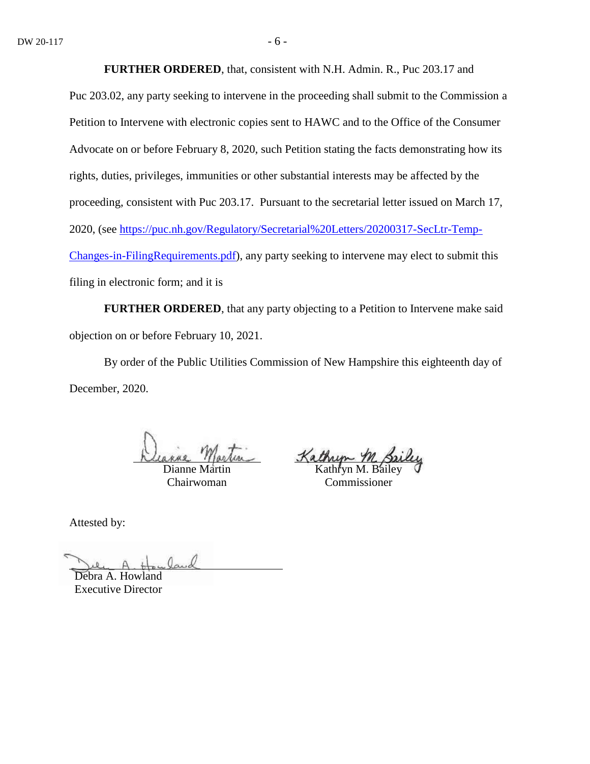**FURTHER ORDERED**, that, consistent with N.H. Admin. R., Puc 203.17 and

Puc 203.02, any party seeking to intervene in the proceeding shall submit to the Commission a Petition to Intervene with electronic copies sent to HAWC and to the Office of the Consumer Advocate on or before February 8, 2020, such Petition stating the facts demonstrating how its rights, duties, privileges, immunities or other substantial interests may be affected by the proceeding, consistent with Puc 203.17. Pursuant to the secretarial letter issued on March 17, 2020, (see [https://puc.nh.gov/Regulatory/Secretarial%20Letters/20200317-SecLtr-Temp-](https://puc.nh.gov/Regulatory/Secretarial%20Letters/20200317-SecLtr-Temp-Changes-in-FilingRequirements.pdf)[Changes-in-FilingRequirements.pdf\)](https://puc.nh.gov/Regulatory/Secretarial%20Letters/20200317-SecLtr-Temp-Changes-in-FilingRequirements.pdf), any party seeking to intervene may elect to submit this filing in electronic form; and it is

**FURTHER ORDERED**, that any party objecting to a Petition to Intervene make said objection on or before February 10, 2021.

By order of the Public Utilities Commission of New Hampshire this eighteenth day of December, 2020.

Dianne Martin Chairwoman

Kathryn M. Sailey

Commissioner

Attested by:

Debra A. Howland

Executive Director